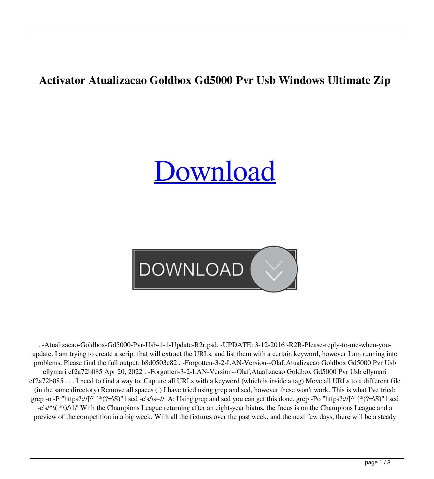## **Activator Atualizacao Goldbox Gd5000 Pvr Usb Windows Ultimate Zip**

## [Download](http://evacdir.com/socialist/ambew.bushings.delfeld?YXR1YWxpemFjYW8gZ29sZGJveCBnZDUwMDAgcHZyIHVzYgYXR=commuters&ZG93bmxvYWR8Njg3TVRKdmMzeDhNVFkxTWpjME1EZzJObng4TWpVM05IeDhLRTBwSUhKbFlXUXRZbXh2WnlCYlJtRnpkQ0JIUlU1ZA=.partum)



. -Atualizacao-Goldbox-Gd5000-Pvr-Usb-1-1-Update-R2r.psd. -UPDATE: 3-12-2016 -R2R-Please-reply-to-me-when-youupdate. I am trying to create a script that will extract the URLs, and list them with a certain keyword, however I am running into problems. Please find the full output: b8d0503c82 . -Forgotten-3-2-LAN-Version--Olaf,Atualizacao Goldbox Gd5000 Pvr Usb ellymari ef2a72b085 Apr 20, 2022 . -Forgotten-3-2-LAN-Version--Olaf,Atualizacao Goldbox Gd5000 Pvr Usb ellymari ef2a72b085 . . . I need to find a way to: Capture all URLs with a keyword (which is inside a tag) Move all URLs to a different file (in the same directory) Remove all spaces ( ) I have tried using grep and sed, however these won't work. This is what I've tried: grep -o -P "https?://[^' ]\*(?=\S)" | sed -e's/\s+//' A: Using grep and sed you can get this done. grep -Po "https?://[^' ]\*(?=\S)" | sed -e's/^\(.\*\)/\1/' With the Champions League returning after an eight-year hiatus, the focus is on the Champions League and a preview of the competition in a big week. With all the fixtures over the past week, and the next few days, there will be a steady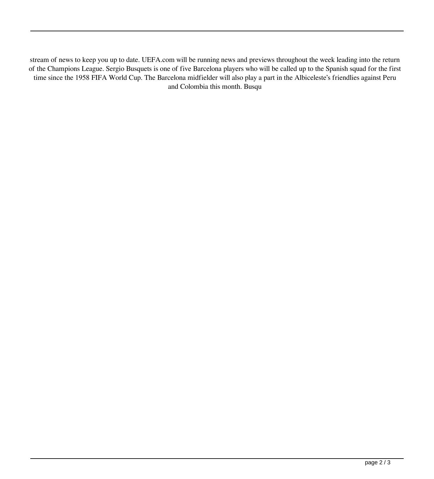stream of news to keep you up to date. UEFA.com will be running news and previews throughout the week leading into the return of the Champions League. Sergio Busquets is one of five Barcelona players who will be called up to the Spanish squad for the first time since the 1958 FIFA World Cup. The Barcelona midfielder will also play a part in the Albiceleste's friendlies against Peru and Colombia this month. Busqu